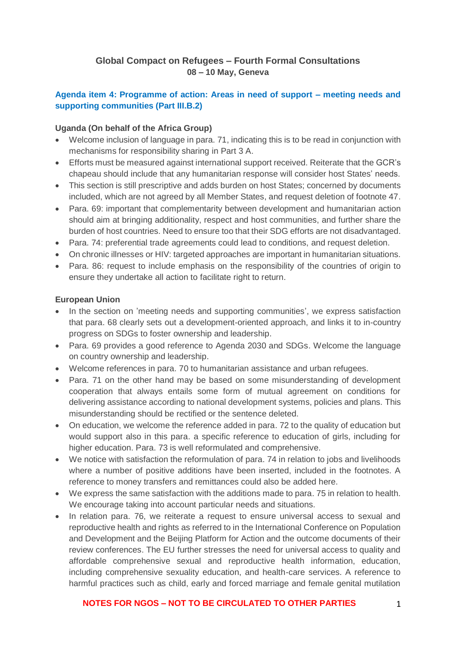# **Global Compact on Refugees – Fourth Formal Consultations 08 – 10 May, Geneva**

# **Agenda item 4: Programme of action: Areas in need of support – meeting needs and supporting communities (Part III.B.2)**

### **Uganda (On behalf of the Africa Group)**

- Welcome inclusion of language in para, 71, indicating this is to be read in conjunction with mechanisms for responsibility sharing in Part 3 A.
- Efforts must be measured against international support received. Reiterate that the GCR's chapeau should include that any humanitarian response will consider host States' needs.
- This section is still prescriptive and adds burden on host States; concerned by documents included, which are not agreed by all Member States, and request deletion of footnote 47.
- Para, 69: important that complementarity between development and humanitarian action should aim at bringing additionality, respect and host communities, and further share the burden of host countries. Need to ensure too that their SDG efforts are not disadvantaged.
- Para. 74: preferential trade agreements could lead to conditions, and request deletion.
- On chronic illnesses or HIV: targeted approaches are important in humanitarian situations.
- Para. 86: request to include emphasis on the responsibility of the countries of origin to ensure they undertake all action to facilitate right to return.

#### **European Union**

- In the section on 'meeting needs and supporting communities', we express satisfaction that para. 68 clearly sets out a development-oriented approach, and links it to in-country progress on SDGs to foster ownership and leadership.
- Para. 69 provides a good reference to Agenda 2030 and SDGs. Welcome the language on country ownership and leadership.
- Welcome references in para. 70 to humanitarian assistance and urban refugees.
- Para. 71 on the other hand may be based on some misunderstanding of development cooperation that always entails some form of mutual agreement on conditions for delivering assistance according to national development systems, policies and plans. This misunderstanding should be rectified or the sentence deleted.
- On education, we welcome the reference added in para, 72 to the quality of education but would support also in this para. a specific reference to education of girls, including for higher education. Para. 73 is well reformulated and comprehensive.
- We notice with satisfaction the reformulation of para. 74 in relation to jobs and livelihoods where a number of positive additions have been inserted, included in the footnotes. A reference to money transfers and remittances could also be added here.
- We express the same satisfaction with the additions made to para. 75 in relation to health. We encourage taking into account particular needs and situations.
- In relation para. 76, we reiterate a request to ensure universal access to sexual and reproductive health and rights as referred to in the International Conference on Population and Development and the Beijing Platform for Action and the outcome documents of their review conferences. The EU further stresses the need for universal access to quality and affordable comprehensive sexual and reproductive health information, education, including comprehensive sexuality education, and health-care services. A reference to harmful practices such as child, early and forced marriage and female genital mutilation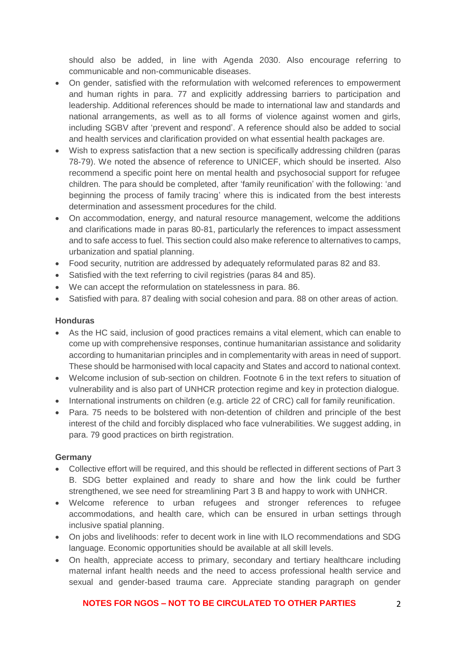should also be added, in line with Agenda 2030. Also encourage referring to communicable and non-communicable diseases.

- On gender, satisfied with the reformulation with welcomed references to empowerment and human rights in para. 77 and explicitly addressing barriers to participation and leadership. Additional references should be made to international law and standards and national arrangements, as well as to all forms of violence against women and girls, including SGBV after 'prevent and respond'. A reference should also be added to social and health services and clarification provided on what essential health packages are.
- Wish to express satisfaction that a new section is specifically addressing children (paras 78-79). We noted the absence of reference to UNICEF, which should be inserted. Also recommend a specific point here on mental health and psychosocial support for refugee children. The para should be completed, after 'family reunification' with the following: 'and beginning the process of family tracing' where this is indicated from the best interests determination and assessment procedures for the child.
- On accommodation, energy, and natural resource management, welcome the additions and clarifications made in paras 80-81, particularly the references to impact assessment and to safe access to fuel. This section could also make reference to alternatives to camps, urbanization and spatial planning.
- Food security, nutrition are addressed by adequately reformulated paras 82 and 83.
- Satisfied with the text referring to civil registries (paras 84 and 85).
- We can accept the reformulation on statelessness in para. 86.
- Satisfied with para. 87 dealing with social cohesion and para. 88 on other areas of action.

#### **Honduras**

- As the HC said, inclusion of good practices remains a vital element, which can enable to come up with comprehensive responses, continue humanitarian assistance and solidarity according to humanitarian principles and in complementarity with areas in need of support. These should be harmonised with local capacity and States and accord to national context.
- Welcome inclusion of sub-section on children. Footnote 6 in the text refers to situation of vulnerability and is also part of UNHCR protection regime and key in protection dialogue.
- International instruments on children (e.g. article 22 of CRC) call for family reunification.
- Para. 75 needs to be bolstered with non-detention of children and principle of the best interest of the child and forcibly displaced who face vulnerabilities. We suggest adding, in para. 79 good practices on birth registration.

#### **Germany**

- Collective effort will be required, and this should be reflected in different sections of Part 3 B. SDG better explained and ready to share and how the link could be further strengthened, we see need for streamlining Part 3 B and happy to work with UNHCR.
- Welcome reference to urban refugees and stronger references to refugee accommodations, and health care, which can be ensured in urban settings through inclusive spatial planning.
- On jobs and livelihoods: refer to decent work in line with ILO recommendations and SDG language. Economic opportunities should be available at all skill levels.
- On health, appreciate access to primary, secondary and tertiary healthcare including maternal infant health needs and the need to access professional health service and sexual and gender-based trauma care. Appreciate standing paragraph on gender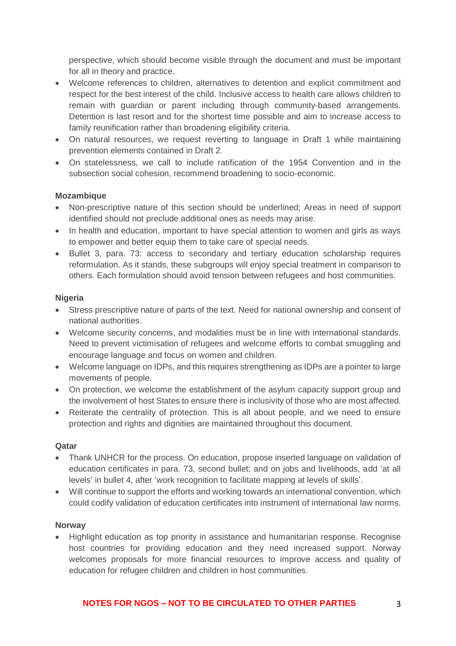perspective, which should become visible through the document and must be important for all in theory and practice.

- Welcome references to children, alternatives to detention and explicit commitment and respect for the best interest of the child. Inclusive access to health care allows children to remain with guardian or parent including through community-based arrangements. Detention is last resort and for the shortest time possible and aim to increase access to family reunification rather than broadening eligibility criteria.
- On natural resources, we request reverting to language in Draft 1 while maintaining prevention elements contained in Draft 2.
- On statelessness, we call to include ratification of the 1954 Convention and in the subsection social cohesion, recommend broadening to socio-economic.

### **Mozambique**

- Non-prescriptive nature of this section should be underlined; Areas in need of support identified should not preclude additional ones as needs may arise.
- In health and education, important to have special attention to women and girls as ways to empower and better equip them to take care of special needs.
- Bullet 3, para. 73: access to secondary and tertiary education scholarship requires reformulation. As it stands, these subgroups will enjoy special treatment in comparison to others. Each formulation should avoid tension between refugees and host communities.

### **Nigeria**

- Stress prescriptive nature of parts of the text. Need for national ownership and consent of national authorities.
- Welcome security concerns, and modalities must be in line with international standards. Need to prevent victimisation of refugees and welcome efforts to combat smuggling and encourage language and focus on women and children.
- Welcome language on IDPs, and this requires strengthening as IDPs are a pointer to large movements of people.
- On protection, we welcome the establishment of the asylum capacity support group and the involvement of host States to ensure there is inclusivity of those who are most affected.
- Reiterate the centrality of protection. This is all about people, and we need to ensure protection and rights and dignities are maintained throughout this document.

#### **Qatar**

- Thank UNHCR for the process. On education, propose inserted language on validation of education certificates in para. 73, second bullet; and on jobs and livelihoods, add 'at all levels' in bullet 4, after 'work recognition to facilitate mapping at levels of skills'.
- Will continue to support the efforts and working towards an international convention, which could codify validation of education certificates into instrument of international law norms.

#### **Norway**

• Highlight education as top priority in assistance and humanitarian response. Recognise host countries for providing education and they need increased support. Norway welcomes proposals for more financial resources to improve access and quality of education for refugee children and children in host communities.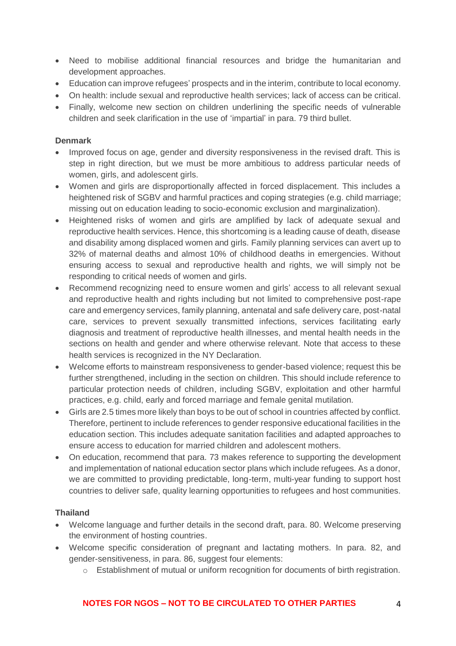- Need to mobilise additional financial resources and bridge the humanitarian and development approaches.
- Education can improve refugees' prospects and in the interim, contribute to local economy.
- On health: include sexual and reproductive health services; lack of access can be critical.
- Finally, welcome new section on children underlining the specific needs of vulnerable children and seek clarification in the use of 'impartial' in para. 79 third bullet.

## **Denmark**

- Improved focus on age, gender and diversity responsiveness in the revised draft. This is step in right direction, but we must be more ambitious to address particular needs of women, girls, and adolescent girls.
- Women and girls are disproportionally affected in forced displacement. This includes a heightened risk of SGBV and harmful practices and coping strategies (e.g. child marriage; missing out on education leading to socio-economic exclusion and marginalization).
- Heightened risks of women and girls are amplified by lack of adequate sexual and reproductive health services. Hence, this shortcoming is a leading cause of death, disease and disability among displaced women and girls. Family planning services can avert up to 32% of maternal deaths and almost 10% of childhood deaths in emergencies. Without ensuring access to sexual and reproductive health and rights, we will simply not be responding to critical needs of women and girls.
- Recommend recognizing need to ensure women and girls' access to all relevant sexual and reproductive health and rights including but not limited to comprehensive post-rape care and emergency services, family planning, antenatal and safe delivery care, post-natal care, services to prevent sexually transmitted infections, services facilitating early diagnosis and treatment of reproductive health illnesses, and mental health needs in the sections on health and gender and where otherwise relevant. Note that access to these health services is recognized in the NY Declaration.
- Welcome efforts to mainstream responsiveness to gender-based violence; request this be further strengthened, including in the section on children. This should include reference to particular protection needs of children, including SGBV, exploitation and other harmful practices, e.g. child, early and forced marriage and female genital mutilation.
- Girls are 2.5 times more likely than boys to be out of school in countries affected by conflict. Therefore, pertinent to include references to gender responsive educational facilities in the education section. This includes adequate sanitation facilities and adapted approaches to ensure access to education for married children and adolescent mothers.
- On education, recommend that para. 73 makes reference to supporting the development and implementation of national education sector plans which include refugees. As a donor, we are committed to providing predictable, long-term, multi-year funding to support host countries to deliver safe, quality learning opportunities to refugees and host communities.

# **Thailand**

- Welcome language and further details in the second draft, para. 80. Welcome preserving the environment of hosting countries.
- Welcome specific consideration of pregnant and lactating mothers. In para. 82, and gender-sensitiveness, in para. 86, suggest four elements:
	- o Establishment of mutual or uniform recognition for documents of birth registration.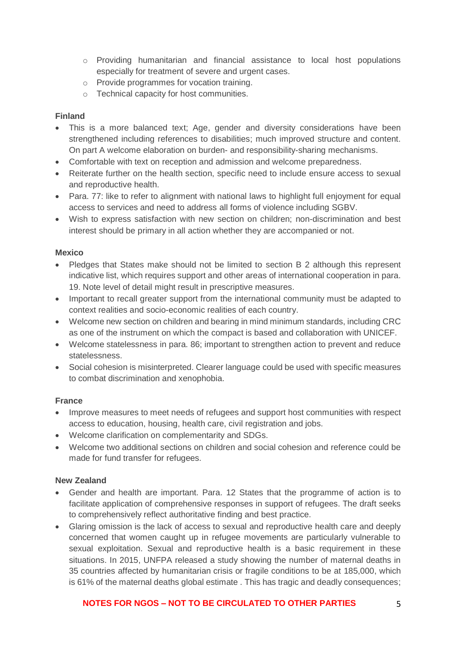- o Providing humanitarian and financial assistance to local host populations especially for treatment of severe and urgent cases.
- o Provide programmes for vocation training.
- o Technical capacity for host communities.

### **Finland**

- This is a more balanced text; Age, gender and diversity considerations have been strengthened including references to disabilities; much improved structure and content. On part A welcome elaboration on burden- and responsibility-sharing mechanisms.
- Comfortable with text on reception and admission and welcome preparedness.
- Reiterate further on the health section, specific need to include ensure access to sexual and reproductive health.
- Para. 77: like to refer to alignment with national laws to highlight full enjoyment for equal access to services and need to address all forms of violence including SGBV.
- Wish to express satisfaction with new section on children; non-discrimination and best interest should be primary in all action whether they are accompanied or not.

#### **Mexico**

- Pledges that States make should not be limited to section B 2 although this represent indicative list, which requires support and other areas of international cooperation in para. 19. Note level of detail might result in prescriptive measures.
- Important to recall greater support from the international community must be adapted to context realities and socio-economic realities of each country.
- Welcome new section on children and bearing in mind minimum standards, including CRC as one of the instrument on which the compact is based and collaboration with UNICEF.
- Welcome statelessness in para. 86; important to strengthen action to prevent and reduce statelessness.
- Social cohesion is misinterpreted. Clearer language could be used with specific measures to combat discrimination and xenophobia.

#### **France**

- Improve measures to meet needs of refugees and support host communities with respect access to education, housing, health care, civil registration and jobs.
- Welcome clarification on complementarity and SDGs.
- Welcome two additional sections on children and social cohesion and reference could be made for fund transfer for refugees.

#### **New Zealand**

- Gender and health are important. Para. 12 States that the programme of action is to facilitate application of comprehensive responses in support of refugees. The draft seeks to comprehensively reflect authoritative finding and best practice.
- Glaring omission is the lack of access to sexual and reproductive health care and deeply concerned that women caught up in refugee movements are particularly vulnerable to sexual exploitation. Sexual and reproductive health is a basic requirement in these situations. In 2015, UNFPA released a study showing the number of maternal deaths in 35 countries affected by humanitarian crisis or fragile conditions to be at 185,000, which is 61% of the maternal deaths global estimate . This has tragic and deadly consequences;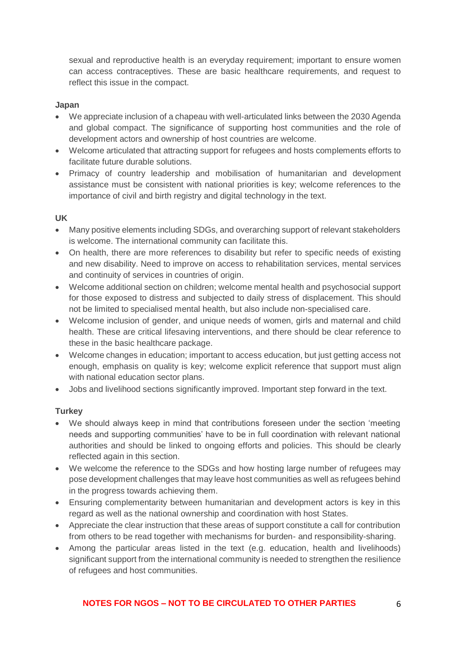sexual and reproductive health is an everyday requirement; important to ensure women can access contraceptives. These are basic healthcare requirements, and request to reflect this issue in the compact.

### **Japan**

- We appreciate inclusion of a chapeau with well-articulated links between the 2030 Agenda and global compact. The significance of supporting host communities and the role of development actors and ownership of host countries are welcome.
- Welcome articulated that attracting support for refugees and hosts complements efforts to facilitate future durable solutions.
- Primacy of country leadership and mobilisation of humanitarian and development assistance must be consistent with national priorities is key; welcome references to the importance of civil and birth registry and digital technology in the text.

### **UK**

- Many positive elements including SDGs, and overarching support of relevant stakeholders is welcome. The international community can facilitate this.
- On health, there are more references to disability but refer to specific needs of existing and new disability. Need to improve on access to rehabilitation services, mental services and continuity of services in countries of origin.
- Welcome additional section on children; welcome mental health and psychosocial support for those exposed to distress and subjected to daily stress of displacement. This should not be limited to specialised mental health, but also include non-specialised care.
- Welcome inclusion of gender, and unique needs of women, girls and maternal and child health. These are critical lifesaving interventions, and there should be clear reference to these in the basic healthcare package.
- Welcome changes in education; important to access education, but just getting access not enough, emphasis on quality is key; welcome explicit reference that support must align with national education sector plans.
- Jobs and livelihood sections significantly improved. Important step forward in the text.

# **Turkey**

- We should always keep in mind that contributions foreseen under the section 'meeting needs and supporting communities' have to be in full coordination with relevant national authorities and should be linked to ongoing efforts and policies. This should be clearly reflected again in this section.
- We welcome the reference to the SDGs and how hosting large number of refugees may pose development challenges that may leave host communities as well as refugees behind in the progress towards achieving them.
- Ensuring complementarity between humanitarian and development actors is key in this regard as well as the national ownership and coordination with host States.
- Appreciate the clear instruction that these areas of support constitute a call for contribution from others to be read together with mechanisms for burden- and responsibility-sharing.
- Among the particular areas listed in the text (e.g. education, health and livelihoods) significant support from the international community is needed to strengthen the resilience of refugees and host communities.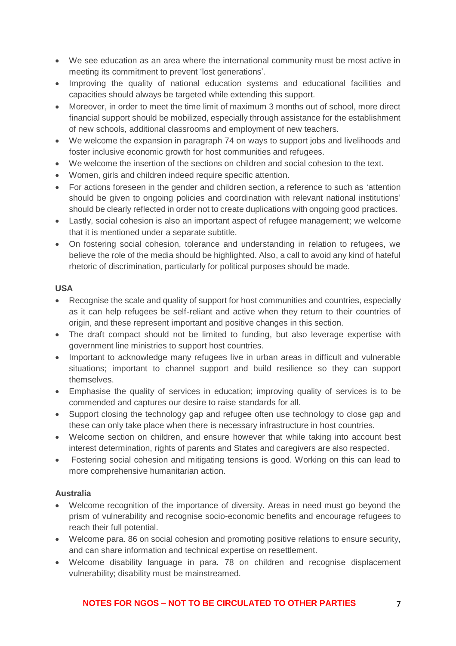- We see education as an area where the international community must be most active in meeting its commitment to prevent 'lost generations'.
- Improving the quality of national education systems and educational facilities and capacities should always be targeted while extending this support.
- Moreover, in order to meet the time limit of maximum 3 months out of school, more direct financial support should be mobilized, especially through assistance for the establishment of new schools, additional classrooms and employment of new teachers.
- We welcome the expansion in paragraph 74 on ways to support jobs and livelihoods and foster inclusive economic growth for host communities and refugees.
- We welcome the insertion of the sections on children and social cohesion to the text.
- Women, girls and children indeed require specific attention.
- For actions foreseen in the gender and children section, a reference to such as 'attention should be given to ongoing policies and coordination with relevant national institutions' should be clearly reflected in order not to create duplications with ongoing good practices.
- Lastly, social cohesion is also an important aspect of refugee management; we welcome that it is mentioned under a separate subtitle.
- On fostering social cohesion, tolerance and understanding in relation to refugees, we believe the role of the media should be highlighted. Also, a call to avoid any kind of hateful rhetoric of discrimination, particularly for political purposes should be made.

# **USA**

- Recognise the scale and quality of support for host communities and countries, especially as it can help refugees be self-reliant and active when they return to their countries of origin, and these represent important and positive changes in this section.
- The draft compact should not be limited to funding, but also leverage expertise with government line ministries to support host countries.
- Important to acknowledge many refugees live in urban areas in difficult and vulnerable situations; important to channel support and build resilience so they can support themselves.
- Emphasise the quality of services in education; improving quality of services is to be commended and captures our desire to raise standards for all.
- Support closing the technology gap and refugee often use technology to close gap and these can only take place when there is necessary infrastructure in host countries.
- Welcome section on children, and ensure however that while taking into account best interest determination, rights of parents and States and caregivers are also respected.
- Fostering social cohesion and mitigating tensions is good. Working on this can lead to more comprehensive humanitarian action.

# **Australia**

- Welcome recognition of the importance of diversity. Areas in need must go beyond the prism of vulnerability and recognise socio-economic benefits and encourage refugees to reach their full potential.
- Welcome para. 86 on social cohesion and promoting positive relations to ensure security, and can share information and technical expertise on resettlement.
- Welcome disability language in para. 78 on children and recognise displacement vulnerability; disability must be mainstreamed.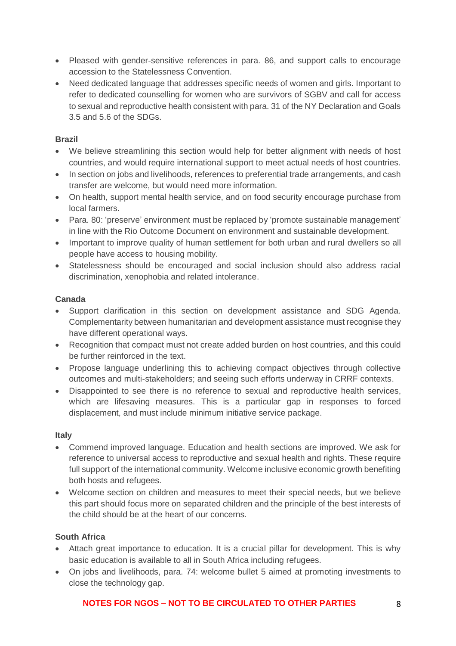- Pleased with gender-sensitive references in para. 86, and support calls to encourage accession to the Statelessness Convention.
- Need dedicated language that addresses specific needs of women and girls. Important to refer to dedicated counselling for women who are survivors of SGBV and call for access to sexual and reproductive health consistent with para. 31 of the NY Declaration and Goals 3.5 and 5.6 of the SDGs.

# **Brazil**

- We believe streamlining this section would help for better alignment with needs of host countries, and would require international support to meet actual needs of host countries.
- In section on jobs and livelihoods, references to preferential trade arrangements, and cash transfer are welcome, but would need more information.
- On health, support mental health service, and on food security encourage purchase from local farmers.
- Para. 80: 'preserve' environment must be replaced by 'promote sustainable management' in line with the Rio Outcome Document on environment and sustainable development.
- Important to improve quality of human settlement for both urban and rural dwellers so all people have access to housing mobility.
- Statelessness should be encouraged and social inclusion should also address racial discrimination, xenophobia and related intolerance.

# **Canada**

- Support clarification in this section on development assistance and SDG Agenda. Complementarity between humanitarian and development assistance must recognise they have different operational ways.
- Recognition that compact must not create added burden on host countries, and this could be further reinforced in the text.
- Propose language underlining this to achieving compact objectives through collective outcomes and multi-stakeholders; and seeing such efforts underway in CRRF contexts.
- Disappointed to see there is no reference to sexual and reproductive health services, which are lifesaving measures. This is a particular gap in responses to forced displacement, and must include minimum initiative service package.

# **Italy**

- Commend improved language. Education and health sections are improved. We ask for reference to universal access to reproductive and sexual health and rights. These require full support of the international community. Welcome inclusive economic growth benefiting both hosts and refugees.
- Welcome section on children and measures to meet their special needs, but we believe this part should focus more on separated children and the principle of the best interests of the child should be at the heart of our concerns.

# **South Africa**

- Attach great importance to education. It is a crucial pillar for development. This is why basic education is available to all in South Africa including refugees.
- On jobs and livelihoods, para. 74: welcome bullet 5 aimed at promoting investments to close the technology gap.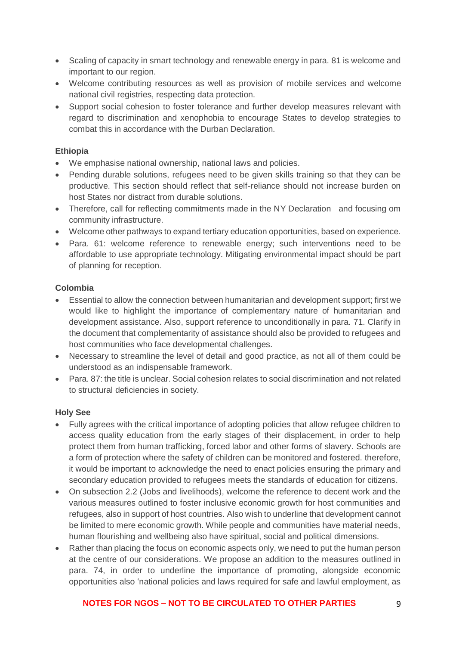- Scaling of capacity in smart technology and renewable energy in para. 81 is welcome and important to our region.
- Welcome contributing resources as well as provision of mobile services and welcome national civil registries, respecting data protection.
- Support social cohesion to foster tolerance and further develop measures relevant with regard to discrimination and xenophobia to encourage States to develop strategies to combat this in accordance with the Durban Declaration.

## **Ethiopia**

- We emphasise national ownership, national laws and policies.
- Pending durable solutions, refugees need to be given skills training so that they can be productive. This section should reflect that self-reliance should not increase burden on host States nor distract from durable solutions.
- Therefore, call for reflecting commitments made in the NY Declaration and focusing om community infrastructure.
- Welcome other pathways to expand tertiary education opportunities, based on experience.
- Para. 61: welcome reference to renewable energy; such interventions need to be affordable to use appropriate technology. Mitigating environmental impact should be part of planning for reception.

### **Colombia**

- Essential to allow the connection between humanitarian and development support; first we would like to highlight the importance of complementary nature of humanitarian and development assistance. Also, support reference to unconditionally in para. 71. Clarify in the document that complementarity of assistance should also be provided to refugees and host communities who face developmental challenges.
- Necessary to streamline the level of detail and good practice, as not all of them could be understood as an indispensable framework.
- Para, 87: the title is unclear. Social cohesion relates to social discrimination and not related to structural deficiencies in society.

# **Holy See**

- Fully agrees with the critical importance of adopting policies that allow refugee children to access quality education from the early stages of their displacement, in order to help protect them from human trafficking, forced labor and other forms of slavery. Schools are a form of protection where the safety of children can be monitored and fostered. therefore, it would be important to acknowledge the need to enact policies ensuring the primary and secondary education provided to refugees meets the standards of education for citizens.
- On subsection 2.2 (Jobs and livelihoods), welcome the reference to decent work and the various measures outlined to foster inclusive economic growth for host communities and refugees, also in support of host countries. Also wish to underline that development cannot be limited to mere economic growth. While people and communities have material needs, human flourishing and wellbeing also have spiritual, social and political dimensions.
- Rather than placing the focus on economic aspects only, we need to put the human person at the centre of our considerations. We propose an addition to the measures outlined in para. 74, in order to underline the importance of promoting, alongside economic opportunities also 'national policies and laws required for safe and lawful employment, as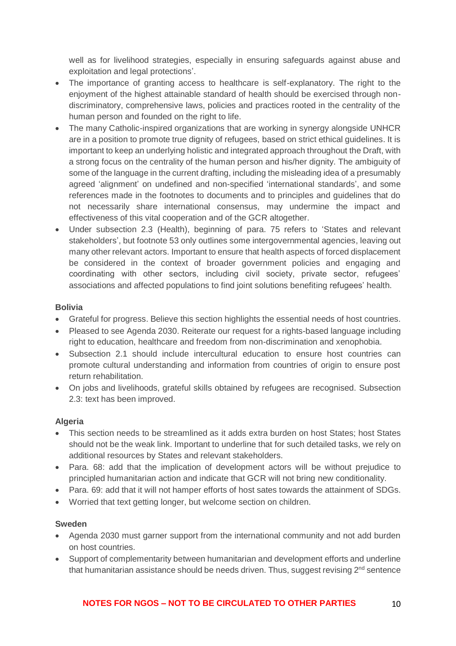well as for livelihood strategies, especially in ensuring safeguards against abuse and exploitation and legal protections'.

- The importance of granting access to healthcare is self-explanatory. The right to the enjoyment of the highest attainable standard of health should be exercised through nondiscriminatory, comprehensive laws, policies and practices rooted in the centrality of the human person and founded on the right to life.
- The many Catholic-inspired organizations that are working in synergy alongside UNHCR are in a position to promote true dignity of refugees, based on strict ethical guidelines. It is important to keep an underlying holistic and integrated approach throughout the Draft, with a strong focus on the centrality of the human person and his/her dignity. The ambiguity of some of the language in the current drafting, including the misleading idea of a presumably agreed 'alignment' on undefined and non-specified 'international standards', and some references made in the footnotes to documents and to principles and guidelines that do not necessarily share international consensus, may undermine the impact and effectiveness of this vital cooperation and of the GCR altogether.
- Under subsection 2.3 (Health), beginning of para. 75 refers to 'States and relevant stakeholders', but footnote 53 only outlines some intergovernmental agencies, leaving out many other relevant actors. Important to ensure that health aspects of forced displacement be considered in the context of broader government policies and engaging and coordinating with other sectors, including civil society, private sector, refugees' associations and affected populations to find joint solutions benefiting refugees' health.

### **Bolivia**

- Grateful for progress. Believe this section highlights the essential needs of host countries.
- Pleased to see Agenda 2030. Reiterate our request for a rights-based language including right to education, healthcare and freedom from non-discrimination and xenophobia.
- Subsection 2.1 should include intercultural education to ensure host countries can promote cultural understanding and information from countries of origin to ensure post return rehabilitation.
- On jobs and livelihoods, grateful skills obtained by refugees are recognised. Subsection 2.3: text has been improved.

#### **Algeria**

- This section needs to be streamlined as it adds extra burden on host States; host States should not be the weak link. Important to underline that for such detailed tasks, we rely on additional resources by States and relevant stakeholders.
- Para. 68: add that the implication of development actors will be without prejudice to principled humanitarian action and indicate that GCR will not bring new conditionality.
- Para. 69: add that it will not hamper efforts of host sates towards the attainment of SDGs.
- Worried that text getting longer, but welcome section on children.

#### **Sweden**

- Agenda 2030 must garner support from the international community and not add burden on host countries.
- Support of complementarity between humanitarian and development efforts and underline that humanitarian assistance should be needs driven. Thus, suggest revising 2<sup>nd</sup> sentence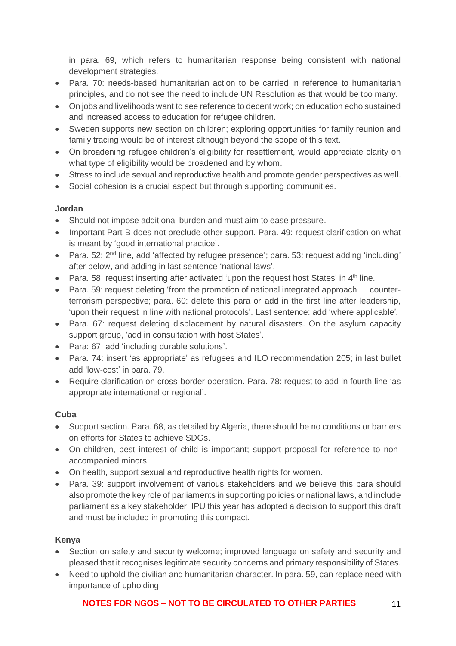in para. 69, which refers to humanitarian response being consistent with national development strategies.

- Para. 70: needs-based humanitarian action to be carried in reference to humanitarian principles, and do not see the need to include UN Resolution as that would be too many.
- On jobs and livelihoods want to see reference to decent work; on education echo sustained and increased access to education for refugee children.
- Sweden supports new section on children; exploring opportunities for family reunion and family tracing would be of interest although beyond the scope of this text.
- On broadening refugee children's eligibility for resettlement, would appreciate clarity on what type of eligibility would be broadened and by whom.
- Stress to include sexual and reproductive health and promote gender perspectives as well.
- Social cohesion is a crucial aspect but through supporting communities.

# **Jordan**

- Should not impose additional burden and must aim to ease pressure.
- Important Part B does not preclude other support. Para, 49: request clarification on what is meant by 'good international practice'.
- Para. 52: 2<sup>nd</sup> line, add 'affected by refugee presence'; para. 53: request adding 'including' after below, and adding in last sentence 'national laws'.
- Para. 58: request inserting after activated 'upon the request host States' in 4<sup>th</sup> line.
- Para. 59: request deleting 'from the promotion of national integrated approach … counterterrorism perspective; para. 60: delete this para or add in the first line after leadership, 'upon their request in line with national protocols'. Last sentence: add 'where applicable'*.*
- Para. 67: request deleting displacement by natural disasters. On the asylum capacity support group, 'add in consultation with host States'.
- Para: 67: add 'including durable solutions'.
- Para. 74: insert 'as appropriate' as refugees and ILO recommendation 205; in last bullet add 'low-cost' in para. 79.
- Require clarification on cross-border operation. Para. 78: request to add in fourth line 'as appropriate international or regional'.

# **Cuba**

- Support section. Para. 68, as detailed by Algeria, there should be no conditions or barriers on efforts for States to achieve SDGs.
- On children, best interest of child is important; support proposal for reference to nonaccompanied minors.
- On health, support sexual and reproductive health rights for women.
- Para. 39: support involvement of various stakeholders and we believe this para should also promote the key role of parliaments in supporting policies or national laws, and include parliament as a key stakeholder. IPU this year has adopted a decision to support this draft and must be included in promoting this compact.

# **Kenya**

- Section on safety and security welcome; improved language on safety and security and pleased that it recognises legitimate security concerns and primary responsibility of States.
- Need to uphold the civilian and humanitarian character. In para. 59, can replace need with importance of upholding.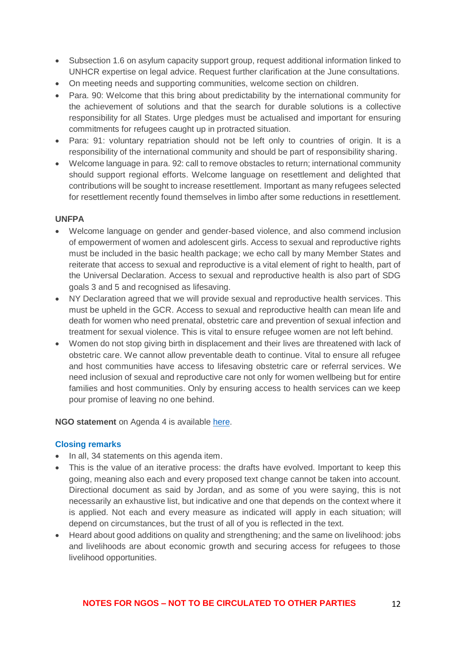- Subsection 1.6 on asylum capacity support group, request additional information linked to UNHCR expertise on legal advice. Request further clarification at the June consultations.
- On meeting needs and supporting communities, welcome section on children.
- Para. 90: Welcome that this bring about predictability by the international community for the achievement of solutions and that the search for durable solutions is a collective responsibility for all States. Urge pledges must be actualised and important for ensuring commitments for refugees caught up in protracted situation.
- Para: 91: voluntary repatriation should not be left only to countries of origin. It is a responsibility of the international community and should be part of responsibility sharing.
- Welcome language in para. 92: call to remove obstacles to return; international community should support regional efforts. Welcome language on resettlement and delighted that contributions will be sought to increase resettlement. Important as many refugees selected for resettlement recently found themselves in limbo after some reductions in resettlement.

### **UNFPA**

- Welcome language on gender and gender-based violence, and also commend inclusion of empowerment of women and adolescent girls. Access to sexual and reproductive rights must be included in the basic health package; we echo call by many Member States and reiterate that access to sexual and reproductive is a vital element of right to health, part of the Universal Declaration. Access to sexual and reproductive health is also part of SDG goals 3 and 5 and recognised as lifesaving.
- NY Declaration agreed that we will provide sexual and reproductive health services. This must be upheld in the GCR. Access to sexual and reproductive health can mean life and death for women who need prenatal, obstetric care and prevention of sexual infection and treatment for sexual violence. This is vital to ensure refugee women are not left behind.
- Women do not stop giving birth in displacement and their lives are threatened with lack of obstetric care. We cannot allow preventable death to continue. Vital to ensure all refugee and host communities have access to lifesaving obstetric care or referral services. We need inclusion of sexual and reproductive care not only for women wellbeing but for entire families and host communities. Only by ensuring access to health services can we keep pour promise of leaving no one behind.

#### **NGO statement** on Agenda 4 is available [here.](https://www.icvanetwork.org/system/files/versions/Agenda%20item%204_Fourth%20formal%20consultations_ORAL_May2018.pdf)

#### **Closing remarks**

- In all, 34 statements on this agenda item.
- This is the value of an iterative process: the drafts have evolved. Important to keep this going, meaning also each and every proposed text change cannot be taken into account. Directional document as said by Jordan, and as some of you were saying, this is not necessarily an exhaustive list, but indicative and one that depends on the context where it is applied. Not each and every measure as indicated will apply in each situation; will depend on circumstances, but the trust of all of you is reflected in the text.
- Heard about good additions on quality and strengthening; and the same on livelihood: jobs and livelihoods are about economic growth and securing access for refugees to those livelihood opportunities.